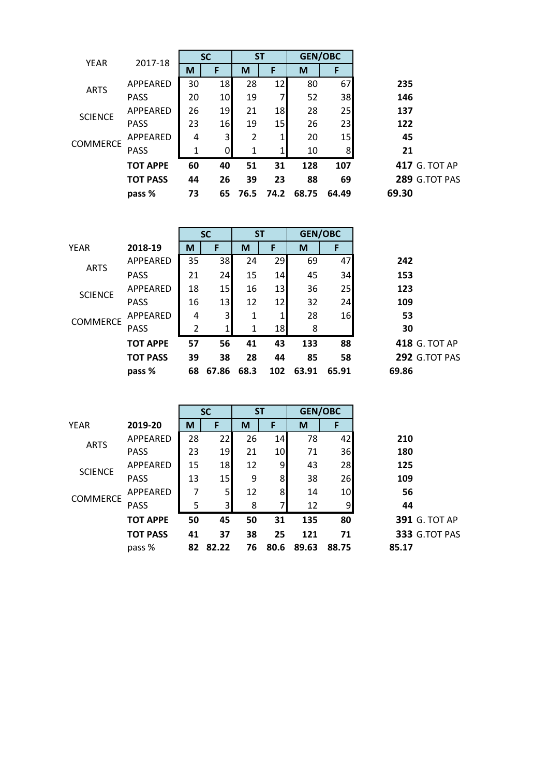| <b>YEAR</b>     | 2017-18         | <b>SC</b> |                 | <b>ST</b> |      |       | <b>GEN/OBC</b> |       |
|-----------------|-----------------|-----------|-----------------|-----------|------|-------|----------------|-------|
|                 |                 | M         | F               | M         | F    | M     | F              |       |
| <b>ARTS</b>     | APPEARED        | 30        | 18              | 28        | 12   | 80    | 67             | 235   |
|                 | <b>PASS</b>     | 20        | 10 <sup>1</sup> | 19        | 7    | 52    | 38             | 146   |
| <b>SCIENCE</b>  | APPEARED        | 26        | 19              | 21        | 18   | 28    | 25             | 137   |
|                 | <b>PASS</b>     | 23        | 16              | 19        | 15   | 26    | 23             | 122   |
| <b>COMMERCE</b> | <b>APPEARED</b> | 4         | 3               | 2         | 1    | 20    | 15             | 45    |
|                 | <b>PASS</b>     | 1         | 0               | 1         | 1    | 10    | 8              | 21    |
|                 | <b>TOT APPE</b> | 60        | 40              | 51        | 31   | 128   | 107            | 417   |
|                 | <b>TOT PASS</b> | 44        | 26              | 39        | 23   | 88    | 69             | 289   |
|                 | pass %          | 73        | 65              | 76.5      | 74.2 | 68.75 | 64.49          | 69.30 |
|                 |                 |           |                 |           |      |       |                |       |

|                 |                 |    | <b>SC</b>      |      | <b>ST</b> |       | <b>GEN/OBC</b> |       |
|-----------------|-----------------|----|----------------|------|-----------|-------|----------------|-------|
| <b>YEAR</b>     | 2018-19         | M  | F              | M    | F         | M     | F              |       |
| <b>ARTS</b>     | APPEARED        | 35 | 38             | 24   | 29        | 69    | 47             | 242   |
|                 | <b>PASS</b>     | 21 | 24             | 15   | 14        | 45    | 34             | 153   |
| <b>SCIENCE</b>  | APPEARED        | 18 | 15             | 16   | 13        | 36    | 25             | 123   |
|                 | <b>PASS</b>     | 16 | 13             | 12   | 12        | 32    | 24             | 109   |
| <b>COMMERCE</b> | APPEARED        | 4  | $\overline{3}$ | 1    | 1         | 28    | 16             | 53    |
|                 | <b>PASS</b>     | 2  | 1              | 1    | 18        | 8     |                | 30    |
|                 | <b>TOT APPE</b> | 57 | 56             | 41   | 43        | 133   | 88             | 418   |
|                 | <b>TOT PASS</b> | 39 | 38             | 28   | 44        | 85    | 58             | 292   |
|                 | pass %          | 68 | 67.86          | 68.3 | 102       | 63.91 | 65.91          | 69.86 |

|                 |                 | <b>SC</b> |                         | <b>ST</b> |      | <b>GEN/OBC</b> |       |                      |
|-----------------|-----------------|-----------|-------------------------|-----------|------|----------------|-------|----------------------|
| <b>YEAR</b>     | 2019-20         | M         | F                       | M         | F    | M              | Е     |                      |
| <b>ARTS</b>     | APPEARED        | 28        | 22                      | 26        | 14   | 78             | 42    | 210                  |
|                 | <b>PASS</b>     | 23        | 19                      | 21        | 10   | 71             | 36    | 180                  |
| <b>SCIENCE</b>  | APPEARED        | 15        | 18                      | 12        | 9    | 43             | 28    | 125                  |
|                 | <b>PASS</b>     | 13        | 15                      | 9         | 8    | 38             | 26    | 109                  |
| <b>COMMERCE</b> | <b>APPEARED</b> | 7         | 5                       | 12        | 8    | 14             | 10    | 56                   |
|                 | <b>PASS</b>     | 5         | $\overline{\mathsf{3}}$ | 8         |      | 12             | 9     | 44                   |
|                 | <b>TOT APPE</b> | 50        | 45                      | 50        | 31   | 135            | 80    | <b>391 G. TOT AP</b> |
|                 | <b>TOT PASS</b> | 41        | 37                      | 38        | 25   | 121            | 71    | 333 G.TOT PAS        |
|                 | pass %          | 82        | 82.22                   | 76        | 80.6 | 89.63          | 88.75 | 85.17                |